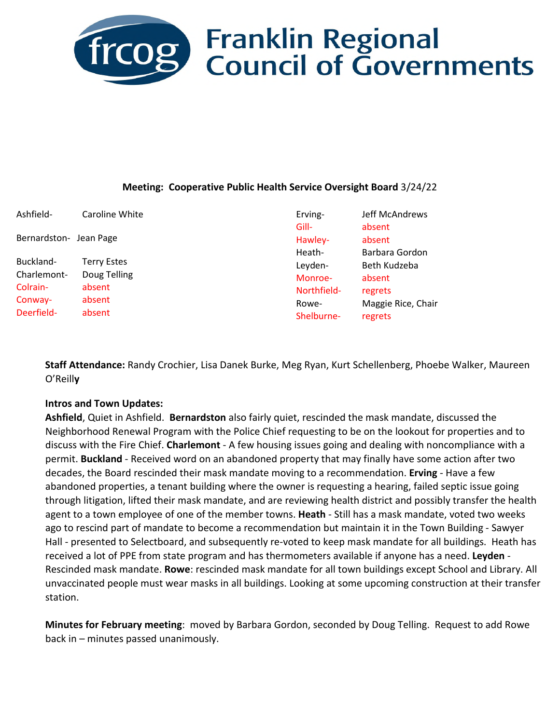

## **frcog** Franklin Regional<br>Council of Governments

#### **Meeting: Cooperative Public Health Service Oversight Board** 3/24/22

| Ashfield-              | Caroline White                     | Erving-            | Jeff McAndrews         |
|------------------------|------------------------------------|--------------------|------------------------|
| Bernardston- Jean Page |                                    | Gill-<br>Hawley-   | absent<br>absent       |
| Buckland-              | <b>Terry Estes</b><br>Doug Telling | Heath-             | Barbara Gordon         |
| Charlemont-            |                                    | Leyden-<br>Monroe- | Beth Kudzeba<br>absent |
| Colrain-               | absent                             | Northfield-        | regrets                |
| Conway-                | absent                             | Rowe-              | Maggie Rice, Chair     |
| Deerfield-             | absent                             | Shelburne-         | regrets                |

**Staff Attendance:** Randy Crochier, Lisa Danek Burke, Meg Ryan, Kurt Schellenberg, Phoebe Walker, Maureen O'Reill**y** 

#### **Intros and Town Updates:**

**Ashfield**, Quiet in Ashfield. **Bernardston** also fairly quiet, rescinded the mask mandate, discussed the Neighborhood Renewal Program with the Police Chief requesting to be on the lookout for properties and to discuss with the Fire Chief. **Charlemont** - A few housing issues going and dealing with noncompliance with a permit. **Buckland** - Received word on an abandoned property that may finally have some action after two decades, the Board rescinded their mask mandate moving to a recommendation. **Erving** - Have a few abandoned properties, a tenant building where the owner is requesting a hearing, failed septic issue going through litigation, lifted their mask mandate, and are reviewing health district and possibly transfer the health agent to a town employee of one of the member towns. **Heath** - Still has a mask mandate, voted two weeks ago to rescind part of mandate to become a recommendation but maintain it in the Town Building - Sawyer Hall - presented to Selectboard, and subsequently re-voted to keep mask mandate for all buildings. Heath has received a lot of PPE from state program and has thermometers available if anyone has a need. **Leyden** - Rescinded mask mandate. **Rowe**: rescinded mask mandate for all town buildings except School and Library. All unvaccinated people must wear masks in all buildings. Looking at some upcoming construction at their transfer station.

**Minutes for February meeting**: moved by Barbara Gordon, seconded by Doug Telling. Request to add Rowe back in – minutes passed unanimously.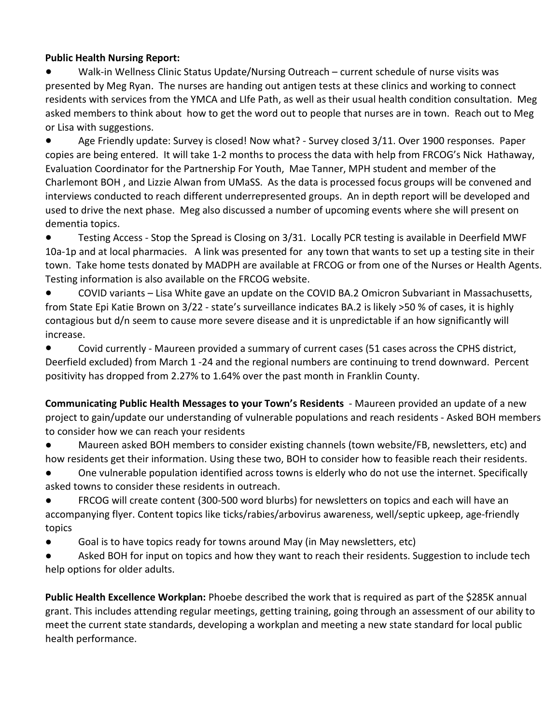## **Public Health Nursing Report:**

Walk-in Wellness Clinic Status Update/Nursing Outreach – current schedule of nurse visits was presented by Meg Ryan. The nurses are handing out antigen tests at these clinics and working to connect residents with services from the YMCA and LIfe Path, as well as their usual health condition consultation. Meg asked members to think about how to get the word out to people that nurses are in town. Reach out to Meg or Lisa with suggestions.

● Age Friendly update: Survey is closed! Now what? - Survey closed 3/11. Over 1900 responses. Paper copies are being entered. It will take 1-2 months to process the data with help from FRCOG's Nick Hathaway, Evaluation Coordinator for the Partnership For Youth, Mae Tanner, MPH student and member of the Charlemont BOH , and Lizzie Alwan from UMaSS. As the data is processed focus groups will be convened and interviews conducted to reach different underrepresented groups. An in depth report will be developed and used to drive the next phase. Meg also discussed a number of upcoming events where she will present on dementia topics.

● Testing Access - Stop the Spread is Closing on 3/31. Locally PCR testing is available in Deerfield MWF 10a-1p and at local pharmacies. A link was presented for any town that wants to set up a testing site in their town. Take home tests donated by MADPH are available at FRCOG or from one of the Nurses or Health Agents. Testing information is also available on the FRCOG website.

● COVID variants – Lisa White gave an update on the COVID BA.2 Omicron Subvariant in Massachusetts, from State Epi Katie Brown on 3/22 - state's surveillance indicates BA.2 is likely >50 % of cases, it is highly contagious but d/n seem to cause more severe disease and it is unpredictable if an how significantly will increase.

● Covid currently - Maureen provided a summary of current cases (51 cases across the CPHS district, Deerfield excluded) from March 1 -24 and the regional numbers are continuing to trend downward. Percent positivity has dropped from 2.27% to 1.64% over the past month in Franklin County.

**Communicating Public Health Messages to your Town's Residents** - Maureen provided an update of a new project to gain/update our understanding of vulnerable populations and reach residents - Asked BOH members to consider how we can reach your residents

Maureen asked BOH members to consider existing channels (town website/FB, newsletters, etc) and how residents get their information. Using these two, BOH to consider how to feasible reach their residents.

One vulnerable population identified across towns is elderly who do not use the internet. Specifically asked towns to consider these residents in outreach.

FRCOG will create content (300-500 word blurbs) for newsletters on topics and each will have an accompanying flyer. Content topics like ticks/rabies/arbovirus awareness, well/septic upkeep, age-friendly topics

● Goal is to have topics ready for towns around May (in May newsletters, etc)

Asked BOH for input on topics and how they want to reach their residents. Suggestion to include tech help options for older adults.

**Public Health Excellence Workplan:** Phoebe described the work that is required as part of the \$285K annual grant. This includes attending regular meetings, getting training, going through an assessment of our ability to meet the current state standards, developing a workplan and meeting a new state standard for local public health performance.